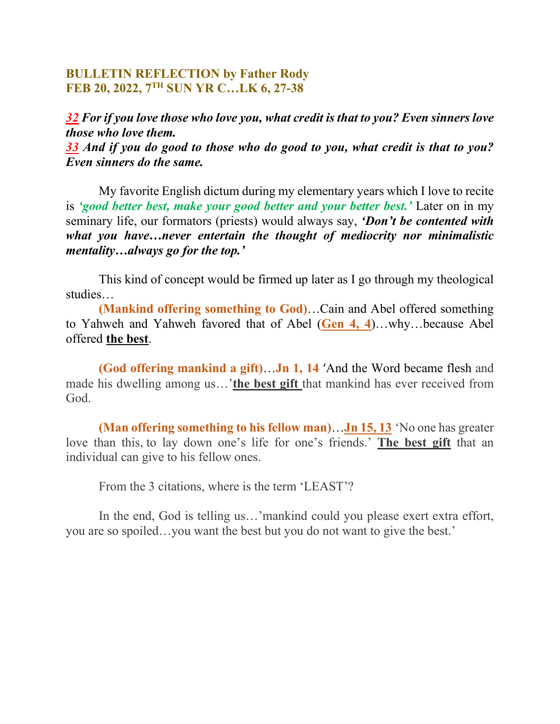## **BULLETIN REFLECTION by Father Rody FEB 20, 2022, 7TH SUN YR C…LK 6, 27-38**

*32 For if you love those who love you, what credit is that to you? Even sinners love those who love them.*

*33 And if you do good to those who do good to you, what credit is that to you? Even sinners do the same.*

My favorite English dictum during my elementary years which I love to recite is *'good better best, make your good better and your better best.'* Later on in my seminary life, our formators (priests) would always say, *'Don't be contented with what you have…never entertain the thought of mediocrity nor minimalistic mentality…always go for the top.'*

This kind of concept would be firmed up later as I go through my theological studies…

**(Mankind offering something to God)**…Cain and Abel offered something to Yahweh and Yahweh favored that of Abel (**Gen 4, 4**)…why…because Abel offered **the best**.

**(God offering mankind a gift)**…**Jn 1, 14** 'And the Word became flesh and made his dwelling among us…'**the best gift** that mankind has ever received from God.

**(Man offering something to his fellow man)**…**Jn 15, 13** 'No one has greater love than this, to lay down one's life for one's friends.' **The best gift** that an individual can give to his fellow ones.

From the 3 citations, where is the term 'LEAST'?

In the end, God is telling us...'mankind could you please exert extra effort, you are so spoiled…you want the best but you do not want to give the best.'